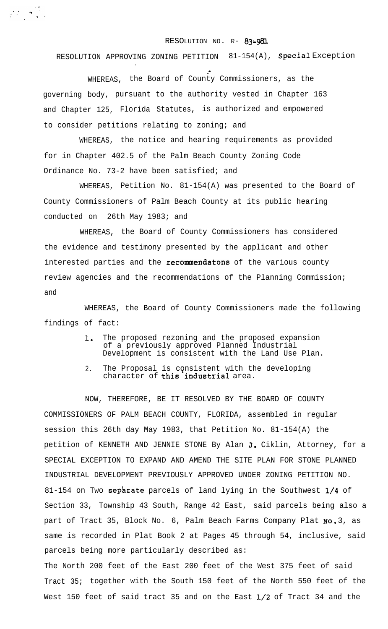## RESOLUTION NO. R- 83-981

RESOLUTION APPROVING ZONING PETITION 81-154(A), Special Exception

.- WHEREAS, the Board of County Commissioners, as the governing body, pursuant to the authority vested in Chapter 163 and Chapter 125, Florida Statutes, is authorized and empowered to consider petitions relating to zoning; and

.

WHEREAS, the notice and hearing requirements as provided for in Chapter 402.5 of the Palm Beach County Zoning Code Ordinance No. 73-2 have been satisfied; and

WHEREAS, Petition No. 81-154(A) was presented to the Board of County Commissioners of Palm Beach County at its public hearing conducted on 26th May 1983; and

WHEREAS, the Board of County Commissioners has considered the evidence and testimony presented by the applicant and other interested parties and the recommendatons of the various county review agencies and the recommendations of the Planning Commission; and

WHEREAS, the Board of County Commissioners made the following findings of fact:

- 1. The proposed rezoning and the proposed expansion of a previously approved Planned Industrial Development is consistent with the Land Use Plan.
- 2. The Proposal is consistent with the developing character of this industrial area.

NOW, THEREFORE, BE IT RESOLVED BY THE BOARD OF COUNTY COMMISSIONERS OF PALM BEACH COUNTY, FLORIDA, assembled in regular session this 26th day May 1983, that Petition No. 81-154(A) the petition of KENNETH AND JENNIE STONE By Alan J. Ciklin, Attorney, for a SPECIAL EXCEPTION TO EXPAND AND AMEND THE SITE PLAN FOR STONE PLANNED INDUSTRIAL DEVELOPMENT PREVIOUSLY APPROVED UNDER ZONING PETITION NO. 81-154 on Two separate parcels of land lying in the Southwest  $1/4$  of Section 33, Township 43 South, Range 42 East, said parcels being also a part of Tract 35, Block No. 6, Palm Beach Farms Company Plat No. 3, as same is recorded in Plat Book 2 at Pages 45 through 54, inclusive, said parcels being more particularly described as:

The North 200 feet of the East 200 feet of the West 375 feet of said Tract 35; together with the South 150 feet of the North 550 feet of the West 150 feet of said tract 35 and on the East 1/2 of Tract 34 and the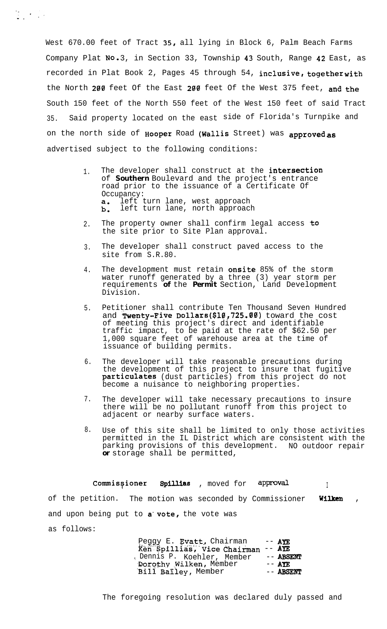West 670.00 feet of Tract 35, all lying in Block 6, Palm Beach Farms Company Plat No. 3, in Section 33, Township 43 South, Range 42 East, as recorded in Plat Book 2, Pages 45 through 54, inclusive, together with the North 200 feet Of the East 200 feet Of the West 375 feet, and the South 150 feet of the North 550 feet of the West 150 feet of said Tract 35. Said property located on the east side of Florida's Turnpike and on the north side of Hooper Road (Wallis Street) was approved as advertised subject to the following conditions:

- 1. The developer shall construct at the intersection of *Southern* Boulevard and the project's entrance road prior to the issuance of a Certificate Of Occupancy:<br>**a.** left t  $b.$ left turn lane, west approach left turn lane, north approach
- 2. The property owner shall confirm legal access to the site prior to Site Plan approval.
- 3. The developer shall construct paved access to the site from S.R.80.
- 4. The development must retain onsite 85% of the storm water runoff generated by a three (3) year storm per requirements **of** the *Permit* Section, Land Development Division.
- 5. Petitioner shall contribute Ten Thousand Seven Hundred and Twenty-Five Dollars (\$10,725.00) toward the cost of meeting this project's direct and identifiable traffic impact, to be paid at the rate of \$62.50 per 1,000 square feet of warehouse area at the time of issuance of building permits.
- 6. The developer will take reasonable precautions during the development of this project to insure that fugitive particulates (dust particles) from this project do not become a nuisance to neighboring properties.
- 7. The developer will take necessary precautions to insure there will be no pollutant runoff from this project to adjacent or nearby surface waters.
- 8. Use of this site shall be limited to only those activities permitted in the IL District which are consistent with the parking provisions of this development. NO outdoor repair *or* storage shall be permitted,

 $\texttt{Commissjoner}$  Spillias , moved for approval of the petition. The motion was seconded by Commissioner Wilken, and upon being put to  $a$  vote, the vote was

as follows:

 $\begin{bmatrix} \mathbf{r}_\mathbf{u} & \mathbf{r}_\mathbf{u} \\ \mathbf{r}_\mathbf{u} & \mathbf{r}_\mathbf{u} \end{bmatrix} = \begin{bmatrix} \mathbf{r}_\mathbf{u} \\ \mathbf{r}_\mathbf{u} \end{bmatrix}$ 

Peggy E. Evatt, Chairman -- AYE &fi'."Spilliti&';'Vice Chairman -- **APE** F Dennis P. Koehler, Member -- ABSENT<br>Dorothy Wilken, Member -- AYE Dorothy Wilken, Member -- AYE<br>Bill Bailey, Member -- ABSENT Bill Bailey, Member

The foregoing resolution was declared duly passed and